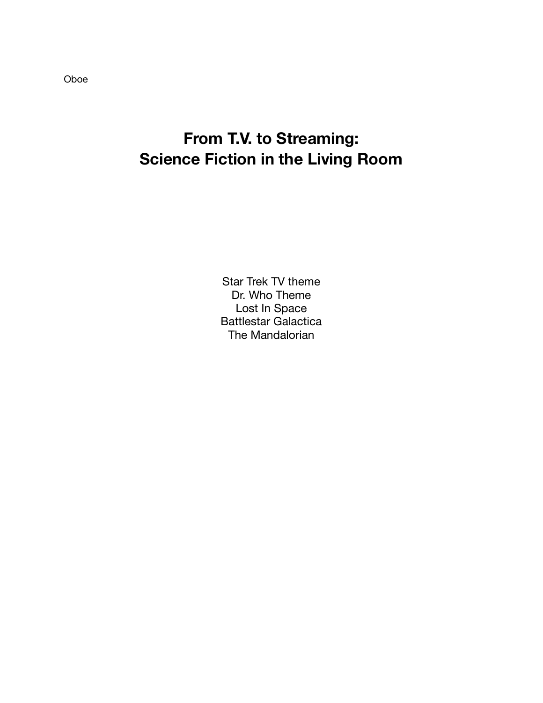#### **From T.V. to Streaming: Science Fiction in the Living Room**

Star Trek TV theme Dr. Who Theme Lost In Space Battlestar Galactica The Mandalorian

Oboe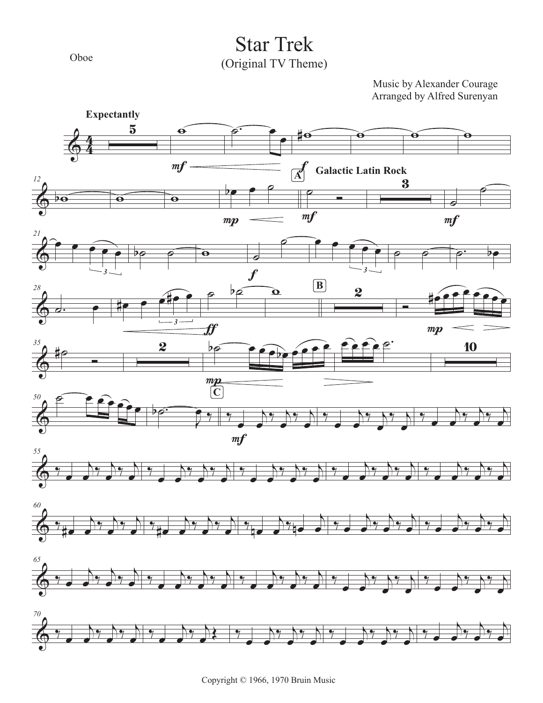Oboe

Star Trek (Original TV Theme)

Music by Alexander Courage Arranged by Alfred Surenyan



Copyright © 1966, 1970 Bruin Music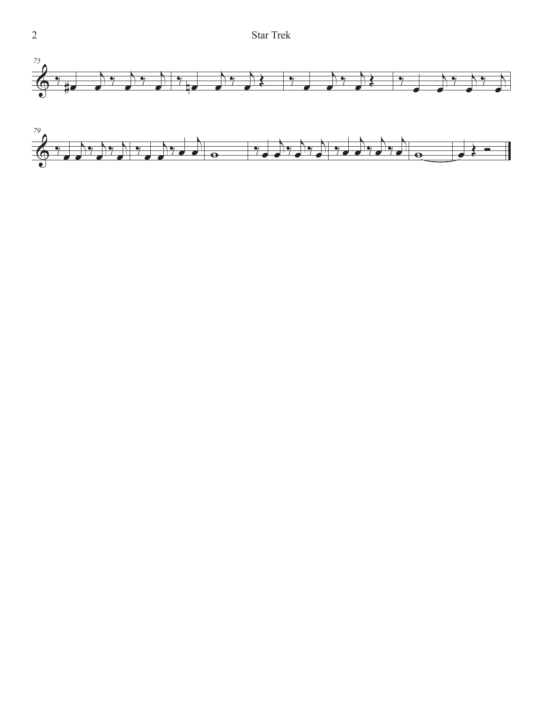

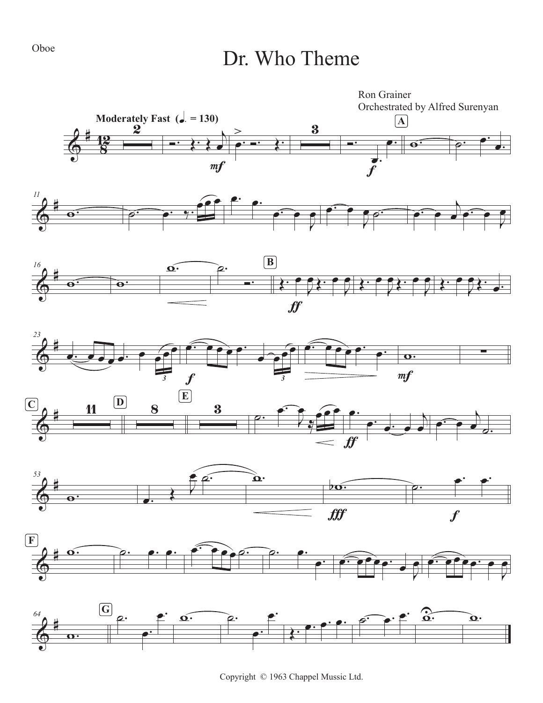Oboe

### Dr. Who Theme





Copyright © 1963 Chappel Mussic Ltd.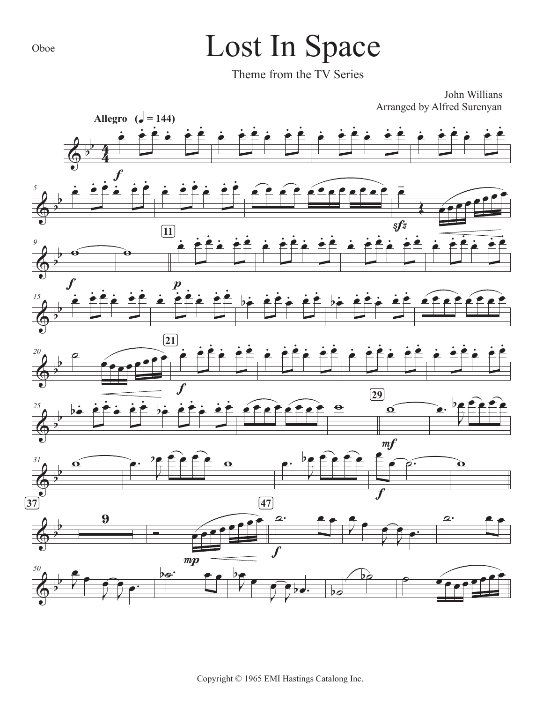# Oboe Lost In Space

Theme from the TV Series

John Willians Arranged by Alfred Surenyan

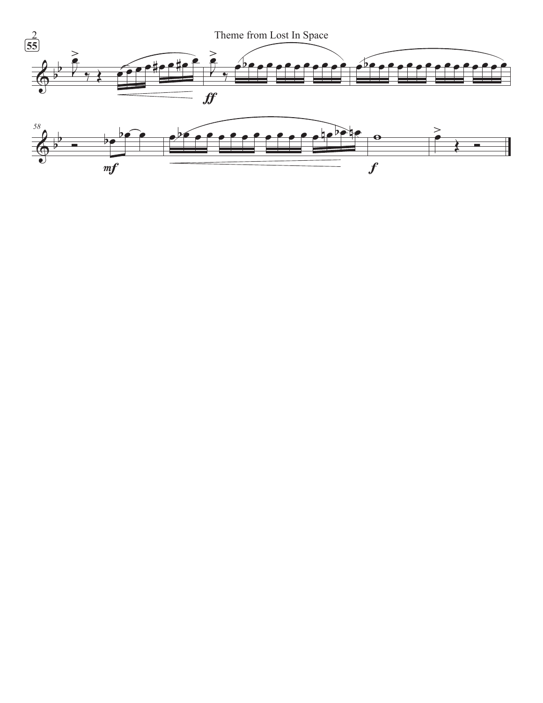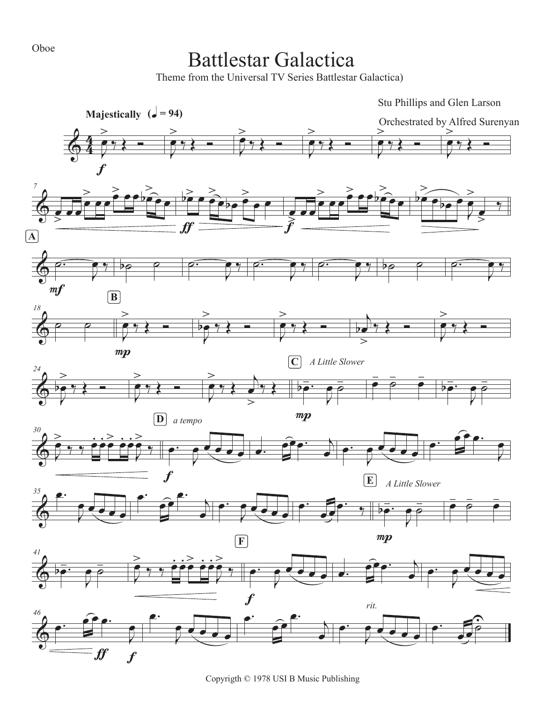## Battlestar Galactica

Theme from the Universal TV Series Battlestar Galactica)



Copyrigth © 1978 USI B Music Publishing